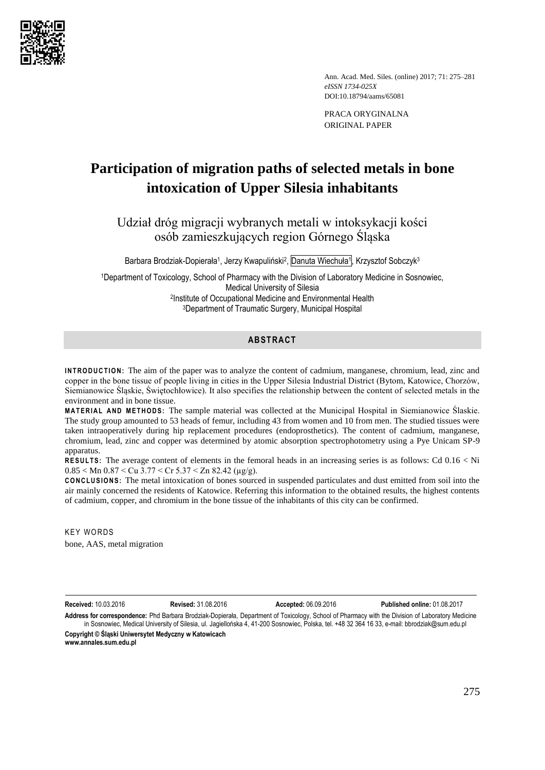

Ann. Acad. Med. Siles. (online) 2017; 71: 275–281 *eISSN 1734-025X*  DOI:10.18794/aams/65081

PRACA ORYGINALNA ORIGINAL PAPER

# **Participation of migration paths of selected metals in bone intoxication of Upper Silesia inhabitants**

Udział dróg migracji wybranych metali w intoksykacji kości osób zamieszkujących region Górnego Śląska

Barbara Brodziak-Dopierała<sup>1</sup>, Jerzy Kwapuliński<sup>2</sup>, Danuta Wiechuła<sup>1</sup>, Krzysztof Sobczyk<sup>3</sup>

Department of Toxicology, School of Pharmacy with the Division of Laboratory Medicine in Sosnowiec, Medical University of Silesia Institute of Occupational Medicine and Environmental Health Department of Traumatic Surgery, Municipal Hospital

## **ABSTRACT**

**INTRODUCTION:** The aim of the paper was to analyze the content of cadmium, manganese, chromium, lead, zinc and copper in the bone tissue of people living in cities in the Upper Silesia Industrial District (Bytom, Katowice, Chorzów, Siemianowice Śląskie, Świętochłowice). It also specifies the relationship between the content of selected metals in the environment and in bone tissue.

**M A T E R I A L A ND M E T H OD S :** The sample material was collected at the Municipal Hospital in Siemianowice Ślaskie. The study group amounted to 53 heads of femur, including 43 from women and 10 from men. The studied tissues were taken intraoperatively during hip replacement procedures (endoprosthetics). The content of cadmium, manganese, chromium, lead, zinc and copper was determined by atomic absorption spectrophotometry using a Pye Unicam SP-9 apparatus.

**RESULTS:** The average content of elements in the femoral heads in an increasing series is as follows: Cd 0.16 < Ni  $0.85 <$  Mn  $0.87 <$  Cu  $3.77 <$  Cr  $5.37 <$  Zn  $82.42$  ( $\mu$ g/g).

**CONCLUSIONS:** The metal intoxication of bones sourced in suspended particulates and dust emitted from soil into the air mainly concerned the residents of Katowice. Referring this information to the obtained results, the highest contents of cadmium, copper, and chromium in the bone tissue of the inhabitants of this city can be confirmed.

**KEY WORDS** bone, AAS, metal migration

**Received:** 10.03.2016 **Revised:** 31.08.2016 **Accepted:** 06.09.2016 **Published online:** 01.08.2017

**Address for correspondence:** Phd Barbara Brodziak-Dopierała, Department of Toxicology, School of Pharmacy with the Division of Laboratory Medicine in Sosnowiec, Medical University of Silesia, ul. Jagiellońska 4, 41-200 Sosnowiec, Polska, tel. +48 32 364 16 33, e-mail: [bbrodziak@sum.edu.pl](mailto:bbrodziak@sum.edu.pl) **Copyright © Śląski Uniwersytet Medyczny w Katowicach**

**www.annales.sum.edu.pl**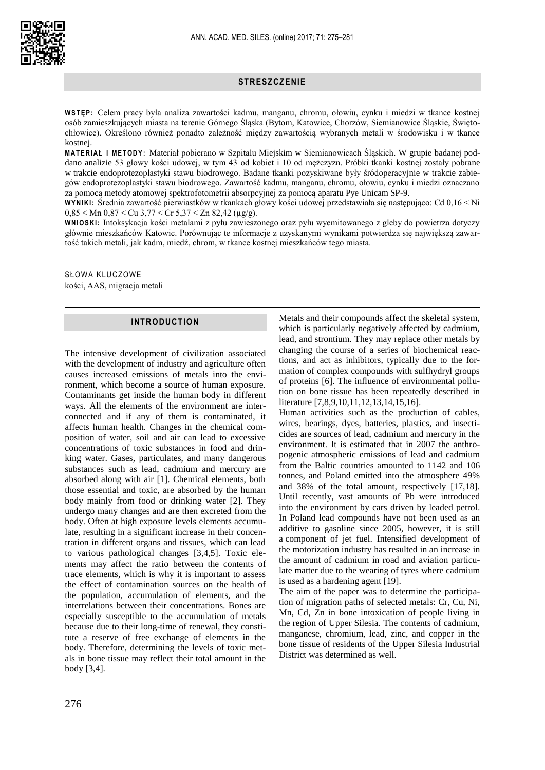

# **STRESZCZENIE**

**W S T Ę P :** Celem pracy była analiza zawartości kadmu, manganu, chromu, ołowiu, cynku i miedzi w tkance kostnej osób zamieszkujących miasta na terenie Górnego Śląska (Bytom, Katowice, Chorzów, Siemianowice Śląskie, Świętochłowice). Określono również ponadto zależność między zawartością wybranych metali w środowisku i w tkance kostnej.

**M A T E R I A Ł I M E T O D Y :** Materiał pobierano w Szpitalu Miejskim w Siemianowicach Śląskich. W grupie badanej poddano analizie 53 głowy kości udowej, w tym 43 od kobiet i 10 od mężczyzn. Próbki tkanki kostnej zostały pobrane w trakcie endoprotezoplastyki stawu biodrowego. Badane tkanki pozyskiwane były śródoperacyjnie w trakcie zabiegów endoprotezoplastyki stawu biodrowego. Zawartość kadmu, manganu, chromu, ołowiu, cynku i miedzi oznaczano za pomocą metody atomowej spektrofotometrii absorpcyjnej za pomocą aparatu Pye Unicam SP-9.

**W Y N I K I :** Średnia zawartość pierwiastków w tkankach głowy kości udowej przedstawiała się następująco: Cd 0,16 < Ni  $0.85 <$  Mn  $0.87 <$  Cu  $3.77 <$  Cr  $5.37 <$  Zn  $82.42$  ( $\mu$ g/g).

**W N I O S K I :** Intoksykacja kości metalami z pyłu zawieszonego oraz pyłu wyemitowanego z gleby do powietrza dotyczy głównie mieszkańców Katowic. Porównując te informacje z uzyskanymi wynikami potwierdza się największą zawartość takich metali, jak kadm, miedź, chrom, w tkance kostnej mieszkańców tego miasta.

SŁOWA KLUCZOWE

kości, AAS, migracja metali

### **INTRODUCTION**

The intensive development of civilization associated with the development of industry and agriculture often causes increased emissions of metals into the environment, which become a source of human exposure. Contaminants get inside the human body in different ways. All the elements of the environment are interconnected and if any of them is contaminated, it affects human health. Changes in the chemical composition of water, soil and air can lead to excessive concentrations of toxic substances in food and drinking water. Gases, particulates, and many dangerous substances such as lead, cadmium and mercury are absorbed along with air [1]. Chemical elements, both those essential and toxic, are absorbed by the human body mainly from food or drinking water [2]. They undergo many changes and are then excreted from the body. Often at high exposure levels elements accumulate, resulting in a significant increase in their concentration in different organs and tissues, which can lead to various pathological changes [3,4,5]. Toxic elements may affect the ratio between the contents of trace elements, which is why it is important to assess the effect of contamination sources on the health of the population, accumulation of elements, and the interrelations between their concentrations. Bones are especially susceptible to the accumulation of metals because due to their long-time of renewal, they constitute a reserve of free exchange of elements in the body. Therefore, determining the levels of toxic metals in bone tissue may reflect their total amount in the body [3,4].

Metals and their compounds affect the skeletal system, which is particularly negatively affected by cadmium, lead, and strontium. They may replace other metals by changing the course of a series of biochemical reactions, and act as inhibitors, typically due to the formation of complex compounds with sulfhydryl groups of proteins [6]. The influence of environmental pollution on bone tissue has been repeatedly described in literature [7,8,9,10,11,12,13,14,15,16].

Human activities such as the production of cables, wires, bearings, dyes, batteries, plastics, and insecticides are sources of lead, cadmium and mercury in the environment. It is estimated that in 2007 the anthropogenic atmospheric emissions of lead and cadmium from the Baltic countries amounted to 1142 and 106 tonnes, and Poland emitted into the atmosphere 49% and 38% of the total amount, respectively [17,18]. Until recently, vast amounts of Pb were introduced into the environment by cars driven by leaded petrol. In Poland lead compounds have not been used as an additive to gasoline since 2005, however, it is still a component of jet fuel. Intensified development of the motorization industry has resulted in an increase in the amount of cadmium in road and aviation particulate matter due to the wearing of tyres where cadmium is used as a hardening agent [19].

The aim of the paper was to determine the participation of migration paths of selected metals: Cr, Cu, Ni, Mn, Cd, Zn in bone intoxication of people living in the region of Upper Silesia. The contents of cadmium, manganese, chromium, lead, zinc, and copper in the bone tissue of residents of the Upper Silesia Industrial District was determined as well.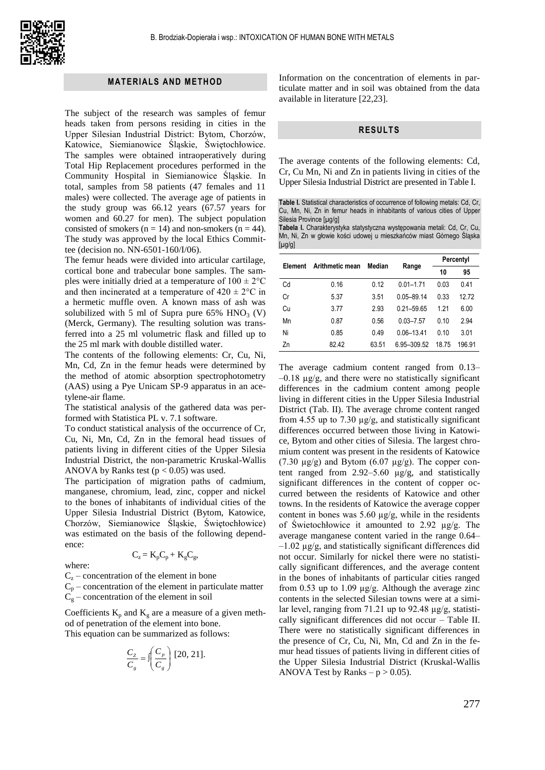

### **MATERIALS AND METHOD**

The subject of the research was samples of femur heads taken from persons residing in cities in the Upper Silesian Industrial District: Bytom, Chorzów, Katowice, Siemianowice Śląskie, Świętochłowice. The samples were obtained intraoperatively during Total Hip Replacement procedures performed in the Community Hospital in Siemianowice Śląskie. In total, samples from 58 patients (47 females and 11 males) were collected. The average age of patients in the study group was 66.12 years (67.57 years for women and 60.27 for men). The subject population consisted of smokers ( $n = 14$ ) and non-smokers ( $n = 44$ ). The study was approved by the local Ethics Committee (decision no. NN-6501-160/I/06).

The femur heads were divided into articular cartilage, cortical bone and trabecular bone samples. The samples were initially dried at a temperature of  $100 \pm 2^{\circ}$ C and then incinerated at a temperature of  $420 \pm 2^{\circ}$ C in a hermetic muffle oven. A known mass of ash was solubilized with 5 ml of Supra pure  $65\%$  HNO<sub>3</sub> (V) (Merck, Germany). The resulting solution was transferred into a 25 ml volumetric flask and filled up to the 25 ml mark with double distilled water.

The contents of the following elements: Cr, Cu, Ni, Mn, Cd, Zn in the femur heads were determined by the method of atomic absorption spectrophotometry (AAS) using a Pye Unicam SP-9 apparatus in an acetylene-air flame.

The statistical analysis of the gathered data was performed with Statistica PL v. 7.1 software.

To conduct statistical analysis of the occurrence of Cr, Cu, Ni, Mn, Cd, Zn in the femoral head tissues of patients living in different cities of the Upper Silesia Industrial District, the non-parametric Kruskal-Wallis ANOVA by Ranks test  $(p < 0.05)$  was used.

The participation of migration paths of cadmium, manganese, chromium, lead, zinc, copper and nickel to the bones of inhabitants of individual cities of the Upper Silesia Industrial District (Bytom, Katowice, Chorzów, Siemianowice Śląskie, Świętochłowice) was estimated on the basis of the following dependence:

where:

 $C_z = K_p C_p + K_g C_g$ 

 $C_z$  – concentration of the element in bone

 $C_p$  – concentration of the element in particulate matter  $C_g$  – concentration of the element in soil

Coefficients  $K_p$  and  $K_g$  are a measure of a given method of penetration of the element into bone.

This equation can be summarized as follows:

$$
\frac{C_z}{C_s} = \iint\limits_{g} \frac{C_p}{C_g} \bigg[ 20, 21 \big].
$$

Information on the concentration of elements in particulate matter and in soil was obtained from the data available in literature [22,23].

### **RESULTS**

The average contents of the following elements: Cd, Cr, Cu Mn, Ni and Zn in patients living in cities of the Upper Silesia Industrial District are presented in Table I.

**Table I.** Statistical characteristics of occurrence of following metals: Cd, Cr, Cu, Mn, Ni, Zn in femur heads in inhabitants of various cities of Upper Silesia Province [µg/g]

**Tabela I.** Charakterystyka statystyczna występowania metali: Cd, Cr, Cu, Mn, Ni, Zn w głowie kości udowej u mieszkańców miast Górnego Śląska  $[µq/q]$ 

| Element | Arithmetic mean | Median |                | Percentyl |        |
|---------|-----------------|--------|----------------|-----------|--------|
|         |                 |        | Range          | 10        | 95     |
| Cd      | 0.16            | 0.12   | $0.01 - 1.71$  | 0.03      | 0.41   |
| Cr      | 5.37            | 3.51   | $0.05 - 89.14$ | 0.33      | 12.72  |
| Сu      | 3.77            | 2.93   | $0.21 - 59.65$ | 1 21      | 6.00   |
| Mn      | 0.87            | 0.56   | $0.03 - 7.57$  | 0.10      | 2.94   |
| Ni      | 0.85            | 0.49   | $0.06 - 13.41$ | 0.10      | 3.01   |
| Zn      | 82.42           | 63.51  | 6.95-309.52    | 18.75     | 196 91 |

The average cadmium content ranged from 0.13–  $-0.18 \mu g/g$ , and there were no statistically significant differences in the cadmium content among people living in different cities in the Upper Silesia Industrial District (Tab. II). The average chrome content ranged from 4.55 up to 7.30  $\mu$ g/g, and statistically significant differences occurred between those living in Katowice, Bytom and other cities of Silesia. The largest chromium content was present in the residents of Katowice (7.30  $\mu$ g/g) and Bytom (6.07  $\mu$ g/g). The copper content ranged from 2.92–5.60 µg/g, and statistically significant differences in the content of copper occurred between the residents of Katowice and other towns. In the residents of Katowice the average copper content in bones was 5.60  $\mu$ g/g, while in the residents of Świetochłowice it amounted to 2.92 µg/g. The average manganese content varied in the range 0.64–  $-1.02 \mu$ g/g, and statistically significant differences did not occur. Similarly for nickel there were no statistically significant differences, and the average content in the bones of inhabitants of particular cities ranged from 0.53 up to 1.09 µg/g. Although the average zinc contents in the selected Silesian towns were at a similar level, ranging from 71.21 up to 92.48 µg/g, statistically significant differences did not occur – Table II. There were no statistically significant differences in the presence of Cr, Cu, Ni, Mn, Cd and Zn in the femur head tissues of patients living in different cities of the Upper Silesia Industrial District (Kruskal-Wallis ANOVA Test by Ranks –  $p > 0.05$ ).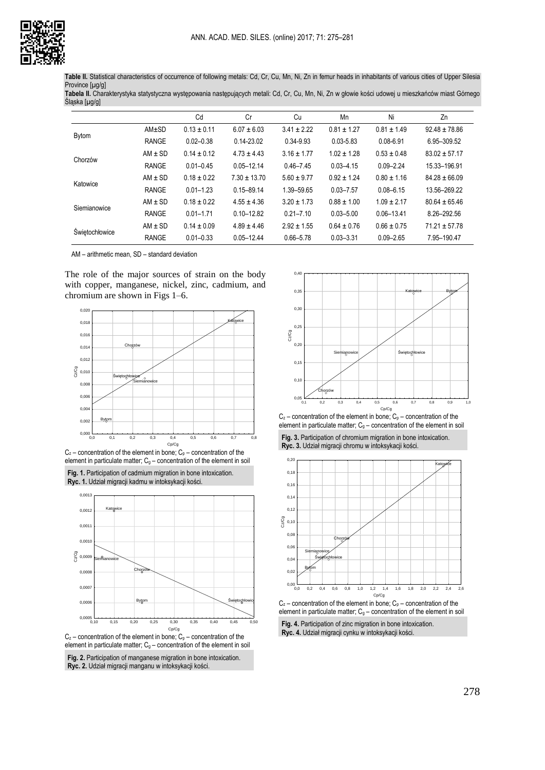

**Table II.** Statistical characteristics of occurrence of following metals: Cd, Cr, Cu, Mn, Ni, Zn in femur heads in inhabitants of various cities of Upper Silesia Province [µg/g]

**Tabela II.** Charakterystyka statystyczna występowania następujących metali: Cd, Cr, Cu, Mn, Ni, Zn w głowie kości udowej u mieszkańców miast Górnego Śląska [µg/g]

|                       |             | Cd              | Cr               | Cu              | Mn              | Ni              | Zn                |
|-----------------------|-------------|-----------------|------------------|-----------------|-----------------|-----------------|-------------------|
| <b>Bytom</b>          | AM±SD       | $0.13 \pm 0.11$ | $6.07 \pm 6.03$  | $3.41 \pm 2.22$ | $0.81 \pm 1.27$ | $0.81 \pm 1.49$ | $92.48 \pm 78.86$ |
|                       | RANGE       | $0.02 - 0.38$   | $0.14 - 23.02$   | 0.34-9.93       | $0.03 - 5.83$   | $0.08 - 6.91$   | 6.95-309.52       |
| Chorzów               | $AM \pm SD$ | $0.14 \pm 0.12$ | $4.73 \pm 4.43$  | $3.16 \pm 1.77$ | $1.02 \pm 1.28$ | $0.53 \pm 0.48$ | $83.02 \pm 57.17$ |
|                       | RANGE       | $0.01 - 0.45$   | $0.05 - 12.14$   | $0.46 - 7.45$   | $0.03 - 4.15$   | $0.09 - 2.24$   | 15.33-196.91      |
| Katowice              | $AM \pm SD$ | $0.18 \pm 0.22$ | $7.30 \pm 13.70$ | $5.60 \pm 9.77$ | $0.92 \pm 1.24$ | $0.80 \pm 1.16$ | $84.28 \pm 66.09$ |
|                       | RANGE       | $0.01 - 1.23$   | $0.15 - 89.14$   | 1.39-59.65      | $0.03 - 7.57$   | $0.08 - 6.15$   | 13.56-269.22      |
| Siemianowice          | $AM \pm SD$ | $0.18 \pm 0.22$ | $4.55 \pm 4.36$  | $3.20 \pm 1.73$ | $0.88 \pm 1.00$ | $1.09 \pm 2.17$ | $80.64 \pm 65.46$ |
|                       | RANGE       | $0.01 - 1.71$   | $0.10 - 12.82$   | $0.21 - 7.10$   | $0.03 - 5.00$   | $0.06 - 13.41$  | 8.26-292.56       |
| <b>Świetochłowice</b> | $AM \pm SD$ | $0.14 \pm 0.09$ | $4.89 \pm 4.46$  | $2.92 \pm 1.55$ | $0.64 \pm 0.76$ | $0.66 \pm 0.75$ | $71.21 \pm 57.78$ |
|                       | RANGE       | $0.01 - 0.33$   | $0.05 - 12.44$   | $0.66 - 5.78$   | $0.03 - 3.31$   | $0.09 - 2.65$   | 7.95-190.47       |

AM – arithmetic mean, SD – standard deviation

The role of the major sources of strain on the body with copper, manganese, nickel, zinc, cadmium, and chromium are shown in Figs 1–6.



 $C_z$  – concentration of the element in bone;  $C_p$  – concentration of the element in particulate matter;  $C<sub>g</sub>$  – concentration of the element in soil

**Fig. 1.** Participation of cadmium migration in bone intoxication. **Ryc. 1.** Udział migracji kadmu w intoksykacji kości.



 $C_z$  – concentration of the element in bone;  $C_p$  – concentration of the element in particulate matter;  $C_g$  – concentration of the element in soil











 $C_z$  – concentration of the element in bone;  $C_p$  – concentration of the element in particulate matter;  $C_g$  – concentration of the element in soil

**Fig. 4.** Participation of zinc migration in bone intoxication. **Ryc. 4.** Udział migracji cynku w intoksykacji kości.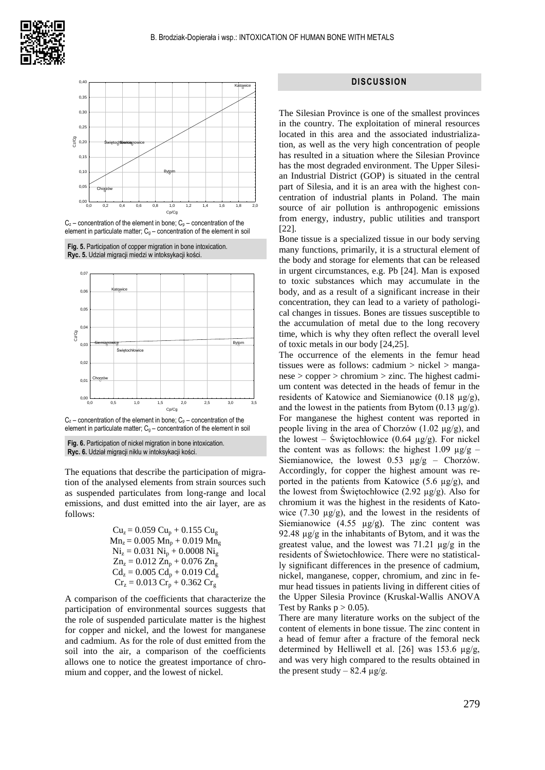

 $C_z$  – concentration of the element in bone;  $C_p$  – concentration of the element in particulate matter;  $C<sub>q</sub>$  – concentration of the element in soil

**Fig. 5.** Participation of copper migration in bone intoxication. **Ryc. 5.** Udział migracji miedzi w intoksykacji kości.



 $C_z$  – concentration of the element in bone;  $C_p$  – concentration of the element in particulate matter:  $C<sub>g</sub>$  – concentration of the element in soil

**Fig. 6.** Participation of nickel migration in bone intoxication. **Ryc. 6.** Udział migracji niklu w intoksykacji kości.

The equations that describe the participation of migration of the analysed elements from strain sources such as suspended particulates from long-range and local emissions, and dust emitted into the air layer, are as follows:

$$
Cuz = 0.059 Cup + 0.155 Cug
$$
  
\n
$$
Mnz = 0.005 Mnp + 0.019 Mng
$$
  
\n
$$
Niz = 0.031 Nip + 0.0008 Nig
$$
  
\n
$$
Znz = 0.012 Znp + 0.076 Zng
$$
  
\n
$$
Cdz = 0.005 Cdp + 0.019 Cdg
$$
  
\n
$$
Crz = 0.013 Crp + 0.362 Crg
$$

A comparison of the coefficients that characterize the participation of environmental sources suggests that the role of suspended particulate matter is the highest for copper and nickel, and the lowest for manganese and cadmium. As for the role of dust emitted from the soil into the air, a comparison of the coefficients allows one to notice the greatest importance of chromium and copper, and the lowest of nickel.

#### **DISCUSSION**

The Silesian Province is one of the smallest provinces in the country. The exploitation of mineral resources located in this area and the associated industrialization, as well as the very high concentration of people has resulted in a situation where the Silesian Province has the most degraded environment. The Upper Silesian Industrial District (GOP) is situated in the central part of Silesia, and it is an area with the highest concentration of industrial plants in Poland. The main source of air pollution is anthropogenic emissions from energy, industry, public utilities and transport [22].

Bone tissue is a specialized tissue in our body serving many functions, primarily, it is a structural element of the body and storage for elements that can be released in urgent circumstances, e.g. Pb [24]. Man is exposed to toxic substances which may accumulate in the body, and as a result of a significant increase in their concentration, they can lead to a variety of pathological changes in tissues. Bones are tissues susceptible to the accumulation of metal due to the long recovery time, which is why they often reflect the overall level of toxic metals in our body [24,25].

The occurrence of the elements in the femur head tissues were as follows: cadmium > nickel > manganese > copper > chromium > zinc. The highest cadmium content was detected in the heads of femur in the residents of Katowice and Siemianowice (0.18  $\mu$ g/g), and the lowest in the patients from Bytom  $(0.13 \mu g/g)$ . For manganese the highest content was reported in people living in the area of Chorzów  $(1.02 \text{ kg/g})$ , and the lowest – Świętochłowice (0.64  $\mu$ g/g). For nickel the content was as follows: the highest 1.09  $\mu$ g/g – Siemianowice, the lowest 0.53  $\mu$ g/g – Chorzów. Accordingly, for copper the highest amount was reported in the patients from Katowice  $(5.6 \mu g/g)$ , and the lowest from Swietochłowice (2.92  $\mu$ g/g). Also for chromium it was the highest in the residents of Katowice  $(7.30 \mu g/g)$ , and the lowest in the residents of Siemianowice  $(4.55 \mu g/g)$ . The zinc content was 92.48  $\mu$ g/g in the inhabitants of Bytom, and it was the greatest value, and the lowest was  $71.21 \mu g/g$  in the residents of Świetochłowice. There were no statistically significant differences in the presence of cadmium, nickel, manganese, copper, chromium, and zinc in femur head tissues in patients living in different cities of the Upper Silesia Province (Kruskal-Wallis ANOVA Test by Ranks  $p > 0.05$ ).

There are many literature works on the subject of the content of elements in bone tissue. The zinc content in a head of femur after a fracture of the femoral neck determined by Helliwell et al. [26] was 153.6 µg/g, and was very high compared to the results obtained in the present study – 82.4  $\mu$ g/g.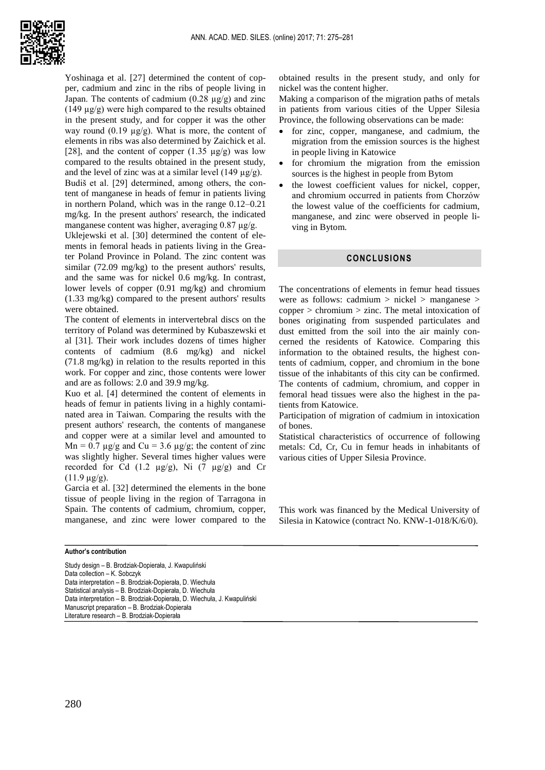

Yoshinaga et al. [27] determined the content of copper, cadmium and zinc in the ribs of people living in Japan. The contents of cadmium  $(0.28 \text{ µg/g})$  and zinc  $(149 \mu g/g)$  were high compared to the results obtained in the present study, and for copper it was the other way round  $(0.19 \text{ µg/g})$ . What is more, the content of elements in ribs was also determined by Zaichick et al. [28], and the content of copper  $(1.35 \mu g/g)$  was low compared to the results obtained in the present study, and the level of zinc was at a similar level (149  $\mu$ g/g). Budiš et al. [29] determined, among others, the content of manganese in heads of femur in patients living in northern Poland, which was in the range 0.12–0.21 mg/kg. In the present authors' research, the indicated manganese content was higher, averaging 0.87 µg/g.

Uklejewski et al. [30] determined the content of elements in femoral heads in patients living in the Greater Poland Province in Poland. The zinc content was similar (72.09 mg/kg) to the present authors' results, and the same was for nickel 0.6 mg/kg. In contrast, lower levels of copper (0.91 mg/kg) and chromium (1.33 mg/kg) compared to the present authors' results were obtained.

The content of elements in intervertebral discs on the territory of Poland was determined by Kubaszewski et al [31]. Their work includes dozens of times higher contents of cadmium (8.6 mg/kg) and nickel (71.8 mg/kg) in relation to the results reported in this work. For copper and zinc, those contents were lower and are as follows: 2.0 and 39.9 mg/kg.

Kuo et al. [4] determined the content of elements in heads of femur in patients living in a highly contaminated area in Taiwan. Comparing the results with the present authors' research, the contents of manganese and copper were at a similar level and amounted to  $Mn = 0.7 \mu g/g$  and  $Cu = 3.6 \mu g/g$ ; the content of zinc was slightly higher. Several times higher values were recorded for Cd  $(1.2 \mu g/g)$ , Ni  $(7 \mu g/g)$  and Cr  $(11.9 \mu g/g)$ .

Garcia et al. [32] determined the elements in the bone tissue of people living in the region of Tarragona in Spain. The contents of cadmium, chromium, copper, manganese, and zinc were lower compared to the obtained results in the present study, and only for nickel was the content higher.

Making a comparison of the migration paths of metals in patients from various cities of the Upper Silesia Province, the following observations can be made:

- for zinc, copper, manganese, and cadmium, the migration from the emission sources is the highest in people living in Katowice
- for chromium the migration from the emission sources is the highest in people from Bytom
- the lowest coefficient values for nickel, copper, and chromium occurred in patients from Chorzów the lowest value of the coefficients for cadmium, manganese, and zinc were observed in people living in Bytom.

### **CONCLUSIONS**

The concentrations of elements in femur head tissues were as follows: cadmium > nickel > manganese > copper > chromium > zinc. The metal intoxication of bones originating from suspended particulates and dust emitted from the soil into the air mainly concerned the residents of Katowice. Comparing this information to the obtained results, the highest contents of cadmium, copper, and chromium in the bone tissue of the inhabitants of this city can be confirmed. The contents of cadmium, chromium, and copper in femoral head tissues were also the highest in the patients from Katowice.

Participation of migration of cadmium in intoxication of bones.

Statistical characteristics of occurrence of following metals: Cd, Cr, Cu in femur heads in inhabitants of various cities of Upper Silesia Province.

This work was financed by the Medical University of Silesia in Katowice (contract No. KNW-1-018/K/6/0).

#### **Author's contribution**

Study design – B. Brodziak-Dopierała, J. Kwapuliński Data collection – K. Sobczyk Data interpretation – B. Brodziak-Dopierała, D. Wiechuła Statistical analysis – B. Brodziak-Dopierała, D. Wiechuła Data interpretation – B. Brodziak-Dopierała, D. Wiechuła, J. Kwapuliński Manuscript preparation – B. Brodziak-Dopierała Literature research – B. Brodziak-Dopierała